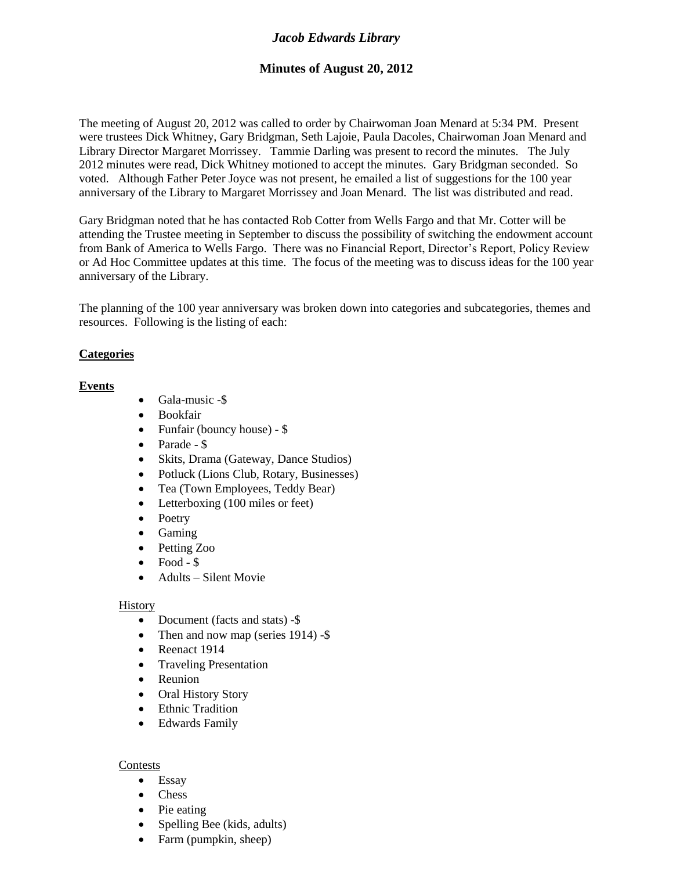# *Jacob Edwards Library*

# **Minutes of August 20, 2012**

The meeting of August 20, 2012 was called to order by Chairwoman Joan Menard at 5:34 PM. Present were trustees Dick Whitney, Gary Bridgman, Seth Lajoie, Paula Dacoles, Chairwoman Joan Menard and Library Director Margaret Morrissey. Tammie Darling was present to record the minutes. The July 2012 minutes were read, Dick Whitney motioned to accept the minutes. Gary Bridgman seconded. So voted. Although Father Peter Joyce was not present, he emailed a list of suggestions for the 100 year anniversary of the Library to Margaret Morrissey and Joan Menard. The list was distributed and read.

Gary Bridgman noted that he has contacted Rob Cotter from Wells Fargo and that Mr. Cotter will be attending the Trustee meeting in September to discuss the possibility of switching the endowment account from Bank of America to Wells Fargo. There was no Financial Report, Director's Report, Policy Review or Ad Hoc Committee updates at this time. The focus of the meeting was to discuss ideas for the 100 year anniversary of the Library.

The planning of the 100 year anniversary was broken down into categories and subcategories, themes and resources. Following is the listing of each:

## **Categories**

## **Events**

- Gala-music -\$
- Bookfair
- Funfair (bouncy house) \$
- Parade \$
- Skits, Drama (Gateway, Dance Studios)
- Potluck (Lions Club, Rotary, Businesses)
- Tea (Town Employees, Teddy Bear)
- Letterboxing (100 miles or feet)
- Poetry
- Gaming
- Petting Zoo
- $\bullet$  Food \$
- Adults Silent Movie

#### History

- Document (facts and stats) -\$
- Then and now map (series 1914) -\$
- Reenact 1914
- Traveling Presentation
- Reunion
- Oral History Story
- Ethnic Tradition
- Edwards Family

## Contests

- Essay
- Chess
- Pie eating
- Spelling Bee (kids, adults)
- Farm (pumpkin, sheep)